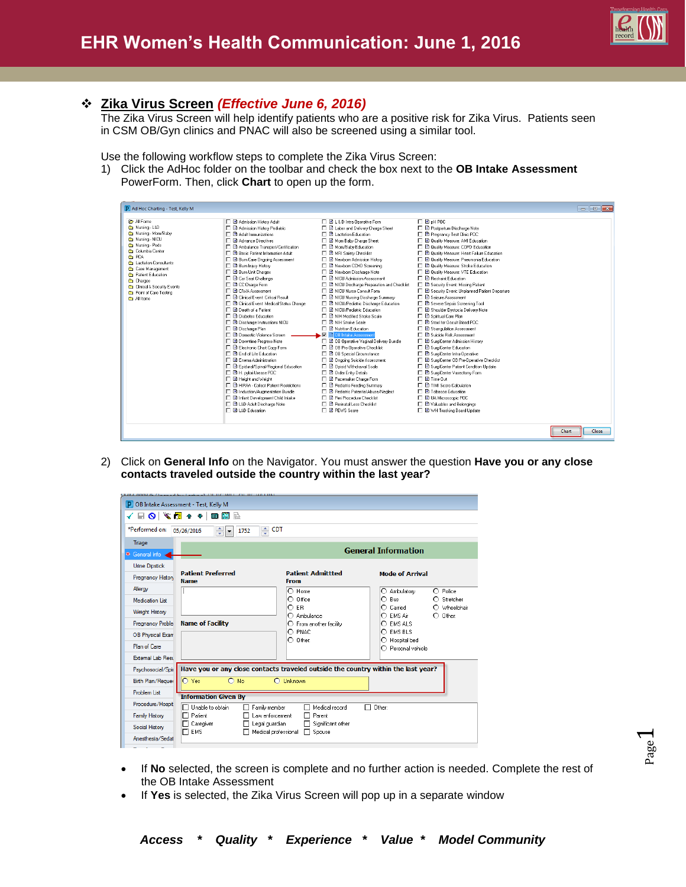

## **Zika Virus Screen** *(Effective June 6, 2016)*

The Zika Virus Screen will help identify patients who are a positive risk for Zika Virus. Patients seen in CSM OB/Gyn clinics and PNAC will also be screened using a similar tool.

Use the following workflow steps to complete the Zika Virus Screen:

1) Click the AdHoc folder on the toolbar and check the box next to the **OB Intake Assessment** PowerForm. Then, click **Chart** to open up the form.

| <b>P</b> All Forms<br><b>E</b> B oH POC<br>□ B Admission History Adult<br>□ □ L&D Intra-Operative Form<br>Mursing - L&D<br>□ B Admission History Pediatric<br>□ □ Labor and Delivery Charge Sheet<br>□ B Postpartum Discharge Note<br>Mursing - Mom/Baby<br>□ 图 Adult Immunizations<br>□ ■ Lactation Education<br>□ B Pregnancy Test Clinic POC<br>Mursing - NICU<br>□ B Advance Directives<br><b>E</b> Mom Baby Charge Sheet<br>□ B Quality Measure: AMI Education<br>Mursing - Peds<br>□ B Ambulance Transport/Certification<br>□ B Mom/Baby Education<br><b>E</b> Quality Measure: COPD Education<br>Columbia Center<br>FL BL Basic Patient Information Adult<br>□ 国 MRI Safety Checklist<br>□ <b>B</b> Quality Measure: Heart Failure Education<br><b>C</b> PCA<br><b>E</b> Burn Care Ongoing Assessment<br>□ B Newborn Admission History<br><b>E</b> Quality Measure: Pneumonia Education<br><b>fth</b> Lactation Consultants<br><b>E</b> Burn Injury History<br>□ 国 Newborn CCHD Screening<br>□ B Quality Measure: Stroke Education<br>Case Management<br><b>T</b> B Burn Unit Charges<br>□ B Newborn Discharge Note<br><b>E</b> Quality Measure: VTE Education<br>Patient Education<br><b>T B</b> Car Seat Challenge<br><b>FLET NICH Admission Assessment</b><br>□ □ Bestraint Education<br>Charges<br><b>E</b> CC Charge Form<br>E Security Event: Missing Patient<br>F B NICU Discharge Preparation and Checklist<br>Clinical & Security Events<br><b>FLET CIVA Assessment</b><br><b>FLET NICH Nurse Consult Form</b><br>□ B Security Event: Unplanned Patient Departure<br>Point of Care Testing<br>F R Clinical Event: Critical Result<br><b>FLET Seizure Assessment</b><br>□ B NICU Nursing Discharge Summary<br><b>Co</b> All Items<br><b>T B</b> Clinical Event: Medical Status Change<br>□ B NICU/Pediatric Discharge Education<br>□ B Severe Sepsis Screening Tool<br>D Death of a Patient<br><b>FLEL NICU/Pediatric Education</b><br>□ B Shoulder Dystocia Delivery Note<br>□ 图 Diabetes Education<br>□ ■ NIH Modified Stroke Scale<br>□ B Spiritual Care Plan<br>D B Discharge Instructions NICU<br>□ ■ NIH Stroke Scale<br>□ ■ Stool for Decult Blood PDC<br>□ ■ Nutrition Education<br>□ B Discharge Plan<br>□ B Strangulation Assessment<br><b>M</b> B OB Intake Assessmen<br>□ 国 Domestic Violence Screen<br>□ ■ Suicide Risk Assessment<br>□ B OB Operative Vaginal Delivery Bundle<br>□ 国 Downtime Progress Note<br>□ B SurgiCenter Admission History<br>E Electronic Chart Copy Form<br>□ B SurgiCenter Education<br>□ B OB Pre-Operative Checklist<br>□ B End of Life Education<br>□ □ 0B Special Circumstance<br>□ B SurgiCenter Intra-Operative<br>□ El Enema Administration<br>□ □ Ongoing Suicide Assessment<br>□ B SurgiCenter OB Pre-Operative Checklist<br>E Epidural/Spinal/Regional Education<br><b>D</b> Opioid Withdrawal Scale<br>□ B SurgiCenter Patient Condition Update<br>□ 国 H. pylori Urease POC<br><b>D</b> Order Entry Details<br>□ 图 SurgiCenter Vasectomy Form<br>$\Box$ <b>B</b> Time flut<br>□ B Height and Weight<br>□ B Pacemaker Charge Form<br>F RI HIPAA - Collect Patient Restrictions<br>□ 同 TIMLScore Calculation<br>□ B Pediatric Feeding Summary |  |
|--------------------------------------------------------------------------------------------------------------------------------------------------------------------------------------------------------------------------------------------------------------------------------------------------------------------------------------------------------------------------------------------------------------------------------------------------------------------------------------------------------------------------------------------------------------------------------------------------------------------------------------------------------------------------------------------------------------------------------------------------------------------------------------------------------------------------------------------------------------------------------------------------------------------------------------------------------------------------------------------------------------------------------------------------------------------------------------------------------------------------------------------------------------------------------------------------------------------------------------------------------------------------------------------------------------------------------------------------------------------------------------------------------------------------------------------------------------------------------------------------------------------------------------------------------------------------------------------------------------------------------------------------------------------------------------------------------------------------------------------------------------------------------------------------------------------------------------------------------------------------------------------------------------------------------------------------------------------------------------------------------------------------------------------------------------------------------------------------------------------------------------------------------------------------------------------------------------------------------------------------------------------------------------------------------------------------------------------------------------------------------------------------------------------------------------------------------------------------------------------------------------------------------------------------------------------------------------------------------------------------------------------------------------------------------------------------------------------------------------------------------------------------------------------------------------------------------------------------------------------------------------------------------------------------------------------------------------------------------------------------------------------------------------------------------------------------------------------------------------------------------------------------------------------------------------------------------------|--|
|                                                                                                                                                                                                                                                                                                                                                                                                                                                                                                                                                                                                                                                                                                                                                                                                                                                                                                                                                                                                                                                                                                                                                                                                                                                                                                                                                                                                                                                                                                                                                                                                                                                                                                                                                                                                                                                                                                                                                                                                                                                                                                                                                                                                                                                                                                                                                                                                                                                                                                                                                                                                                                                                                                                                                                                                                                                                                                                                                                                                                                                                                                                                                                                                              |  |
|                                                                                                                                                                                                                                                                                                                                                                                                                                                                                                                                                                                                                                                                                                                                                                                                                                                                                                                                                                                                                                                                                                                                                                                                                                                                                                                                                                                                                                                                                                                                                                                                                                                                                                                                                                                                                                                                                                                                                                                                                                                                                                                                                                                                                                                                                                                                                                                                                                                                                                                                                                                                                                                                                                                                                                                                                                                                                                                                                                                                                                                                                                                                                                                                              |  |
|                                                                                                                                                                                                                                                                                                                                                                                                                                                                                                                                                                                                                                                                                                                                                                                                                                                                                                                                                                                                                                                                                                                                                                                                                                                                                                                                                                                                                                                                                                                                                                                                                                                                                                                                                                                                                                                                                                                                                                                                                                                                                                                                                                                                                                                                                                                                                                                                                                                                                                                                                                                                                                                                                                                                                                                                                                                                                                                                                                                                                                                                                                                                                                                                              |  |
|                                                                                                                                                                                                                                                                                                                                                                                                                                                                                                                                                                                                                                                                                                                                                                                                                                                                                                                                                                                                                                                                                                                                                                                                                                                                                                                                                                                                                                                                                                                                                                                                                                                                                                                                                                                                                                                                                                                                                                                                                                                                                                                                                                                                                                                                                                                                                                                                                                                                                                                                                                                                                                                                                                                                                                                                                                                                                                                                                                                                                                                                                                                                                                                                              |  |
|                                                                                                                                                                                                                                                                                                                                                                                                                                                                                                                                                                                                                                                                                                                                                                                                                                                                                                                                                                                                                                                                                                                                                                                                                                                                                                                                                                                                                                                                                                                                                                                                                                                                                                                                                                                                                                                                                                                                                                                                                                                                                                                                                                                                                                                                                                                                                                                                                                                                                                                                                                                                                                                                                                                                                                                                                                                                                                                                                                                                                                                                                                                                                                                                              |  |
|                                                                                                                                                                                                                                                                                                                                                                                                                                                                                                                                                                                                                                                                                                                                                                                                                                                                                                                                                                                                                                                                                                                                                                                                                                                                                                                                                                                                                                                                                                                                                                                                                                                                                                                                                                                                                                                                                                                                                                                                                                                                                                                                                                                                                                                                                                                                                                                                                                                                                                                                                                                                                                                                                                                                                                                                                                                                                                                                                                                                                                                                                                                                                                                                              |  |
|                                                                                                                                                                                                                                                                                                                                                                                                                                                                                                                                                                                                                                                                                                                                                                                                                                                                                                                                                                                                                                                                                                                                                                                                                                                                                                                                                                                                                                                                                                                                                                                                                                                                                                                                                                                                                                                                                                                                                                                                                                                                                                                                                                                                                                                                                                                                                                                                                                                                                                                                                                                                                                                                                                                                                                                                                                                                                                                                                                                                                                                                                                                                                                                                              |  |
|                                                                                                                                                                                                                                                                                                                                                                                                                                                                                                                                                                                                                                                                                                                                                                                                                                                                                                                                                                                                                                                                                                                                                                                                                                                                                                                                                                                                                                                                                                                                                                                                                                                                                                                                                                                                                                                                                                                                                                                                                                                                                                                                                                                                                                                                                                                                                                                                                                                                                                                                                                                                                                                                                                                                                                                                                                                                                                                                                                                                                                                                                                                                                                                                              |  |
|                                                                                                                                                                                                                                                                                                                                                                                                                                                                                                                                                                                                                                                                                                                                                                                                                                                                                                                                                                                                                                                                                                                                                                                                                                                                                                                                                                                                                                                                                                                                                                                                                                                                                                                                                                                                                                                                                                                                                                                                                                                                                                                                                                                                                                                                                                                                                                                                                                                                                                                                                                                                                                                                                                                                                                                                                                                                                                                                                                                                                                                                                                                                                                                                              |  |
|                                                                                                                                                                                                                                                                                                                                                                                                                                                                                                                                                                                                                                                                                                                                                                                                                                                                                                                                                                                                                                                                                                                                                                                                                                                                                                                                                                                                                                                                                                                                                                                                                                                                                                                                                                                                                                                                                                                                                                                                                                                                                                                                                                                                                                                                                                                                                                                                                                                                                                                                                                                                                                                                                                                                                                                                                                                                                                                                                                                                                                                                                                                                                                                                              |  |
|                                                                                                                                                                                                                                                                                                                                                                                                                                                                                                                                                                                                                                                                                                                                                                                                                                                                                                                                                                                                                                                                                                                                                                                                                                                                                                                                                                                                                                                                                                                                                                                                                                                                                                                                                                                                                                                                                                                                                                                                                                                                                                                                                                                                                                                                                                                                                                                                                                                                                                                                                                                                                                                                                                                                                                                                                                                                                                                                                                                                                                                                                                                                                                                                              |  |
|                                                                                                                                                                                                                                                                                                                                                                                                                                                                                                                                                                                                                                                                                                                                                                                                                                                                                                                                                                                                                                                                                                                                                                                                                                                                                                                                                                                                                                                                                                                                                                                                                                                                                                                                                                                                                                                                                                                                                                                                                                                                                                                                                                                                                                                                                                                                                                                                                                                                                                                                                                                                                                                                                                                                                                                                                                                                                                                                                                                                                                                                                                                                                                                                              |  |
|                                                                                                                                                                                                                                                                                                                                                                                                                                                                                                                                                                                                                                                                                                                                                                                                                                                                                                                                                                                                                                                                                                                                                                                                                                                                                                                                                                                                                                                                                                                                                                                                                                                                                                                                                                                                                                                                                                                                                                                                                                                                                                                                                                                                                                                                                                                                                                                                                                                                                                                                                                                                                                                                                                                                                                                                                                                                                                                                                                                                                                                                                                                                                                                                              |  |
|                                                                                                                                                                                                                                                                                                                                                                                                                                                                                                                                                                                                                                                                                                                                                                                                                                                                                                                                                                                                                                                                                                                                                                                                                                                                                                                                                                                                                                                                                                                                                                                                                                                                                                                                                                                                                                                                                                                                                                                                                                                                                                                                                                                                                                                                                                                                                                                                                                                                                                                                                                                                                                                                                                                                                                                                                                                                                                                                                                                                                                                                                                                                                                                                              |  |
|                                                                                                                                                                                                                                                                                                                                                                                                                                                                                                                                                                                                                                                                                                                                                                                                                                                                                                                                                                                                                                                                                                                                                                                                                                                                                                                                                                                                                                                                                                                                                                                                                                                                                                                                                                                                                                                                                                                                                                                                                                                                                                                                                                                                                                                                                                                                                                                                                                                                                                                                                                                                                                                                                                                                                                                                                                                                                                                                                                                                                                                                                                                                                                                                              |  |
|                                                                                                                                                                                                                                                                                                                                                                                                                                                                                                                                                                                                                                                                                                                                                                                                                                                                                                                                                                                                                                                                                                                                                                                                                                                                                                                                                                                                                                                                                                                                                                                                                                                                                                                                                                                                                                                                                                                                                                                                                                                                                                                                                                                                                                                                                                                                                                                                                                                                                                                                                                                                                                                                                                                                                                                                                                                                                                                                                                                                                                                                                                                                                                                                              |  |
|                                                                                                                                                                                                                                                                                                                                                                                                                                                                                                                                                                                                                                                                                                                                                                                                                                                                                                                                                                                                                                                                                                                                                                                                                                                                                                                                                                                                                                                                                                                                                                                                                                                                                                                                                                                                                                                                                                                                                                                                                                                                                                                                                                                                                                                                                                                                                                                                                                                                                                                                                                                                                                                                                                                                                                                                                                                                                                                                                                                                                                                                                                                                                                                                              |  |
|                                                                                                                                                                                                                                                                                                                                                                                                                                                                                                                                                                                                                                                                                                                                                                                                                                                                                                                                                                                                                                                                                                                                                                                                                                                                                                                                                                                                                                                                                                                                                                                                                                                                                                                                                                                                                                                                                                                                                                                                                                                                                                                                                                                                                                                                                                                                                                                                                                                                                                                                                                                                                                                                                                                                                                                                                                                                                                                                                                                                                                                                                                                                                                                                              |  |
|                                                                                                                                                                                                                                                                                                                                                                                                                                                                                                                                                                                                                                                                                                                                                                                                                                                                                                                                                                                                                                                                                                                                                                                                                                                                                                                                                                                                                                                                                                                                                                                                                                                                                                                                                                                                                                                                                                                                                                                                                                                                                                                                                                                                                                                                                                                                                                                                                                                                                                                                                                                                                                                                                                                                                                                                                                                                                                                                                                                                                                                                                                                                                                                                              |  |
|                                                                                                                                                                                                                                                                                                                                                                                                                                                                                                                                                                                                                                                                                                                                                                                                                                                                                                                                                                                                                                                                                                                                                                                                                                                                                                                                                                                                                                                                                                                                                                                                                                                                                                                                                                                                                                                                                                                                                                                                                                                                                                                                                                                                                                                                                                                                                                                                                                                                                                                                                                                                                                                                                                                                                                                                                                                                                                                                                                                                                                                                                                                                                                                                              |  |
|                                                                                                                                                                                                                                                                                                                                                                                                                                                                                                                                                                                                                                                                                                                                                                                                                                                                                                                                                                                                                                                                                                                                                                                                                                                                                                                                                                                                                                                                                                                                                                                                                                                                                                                                                                                                                                                                                                                                                                                                                                                                                                                                                                                                                                                                                                                                                                                                                                                                                                                                                                                                                                                                                                                                                                                                                                                                                                                                                                                                                                                                                                                                                                                                              |  |
|                                                                                                                                                                                                                                                                                                                                                                                                                                                                                                                                                                                                                                                                                                                                                                                                                                                                                                                                                                                                                                                                                                                                                                                                                                                                                                                                                                                                                                                                                                                                                                                                                                                                                                                                                                                                                                                                                                                                                                                                                                                                                                                                                                                                                                                                                                                                                                                                                                                                                                                                                                                                                                                                                                                                                                                                                                                                                                                                                                                                                                                                                                                                                                                                              |  |
|                                                                                                                                                                                                                                                                                                                                                                                                                                                                                                                                                                                                                                                                                                                                                                                                                                                                                                                                                                                                                                                                                                                                                                                                                                                                                                                                                                                                                                                                                                                                                                                                                                                                                                                                                                                                                                                                                                                                                                                                                                                                                                                                                                                                                                                                                                                                                                                                                                                                                                                                                                                                                                                                                                                                                                                                                                                                                                                                                                                                                                                                                                                                                                                                              |  |
|                                                                                                                                                                                                                                                                                                                                                                                                                                                                                                                                                                                                                                                                                                                                                                                                                                                                                                                                                                                                                                                                                                                                                                                                                                                                                                                                                                                                                                                                                                                                                                                                                                                                                                                                                                                                                                                                                                                                                                                                                                                                                                                                                                                                                                                                                                                                                                                                                                                                                                                                                                                                                                                                                                                                                                                                                                                                                                                                                                                                                                                                                                                                                                                                              |  |
|                                                                                                                                                                                                                                                                                                                                                                                                                                                                                                                                                                                                                                                                                                                                                                                                                                                                                                                                                                                                                                                                                                                                                                                                                                                                                                                                                                                                                                                                                                                                                                                                                                                                                                                                                                                                                                                                                                                                                                                                                                                                                                                                                                                                                                                                                                                                                                                                                                                                                                                                                                                                                                                                                                                                                                                                                                                                                                                                                                                                                                                                                                                                                                                                              |  |
|                                                                                                                                                                                                                                                                                                                                                                                                                                                                                                                                                                                                                                                                                                                                                                                                                                                                                                                                                                                                                                                                                                                                                                                                                                                                                                                                                                                                                                                                                                                                                                                                                                                                                                                                                                                                                                                                                                                                                                                                                                                                                                                                                                                                                                                                                                                                                                                                                                                                                                                                                                                                                                                                                                                                                                                                                                                                                                                                                                                                                                                                                                                                                                                                              |  |
|                                                                                                                                                                                                                                                                                                                                                                                                                                                                                                                                                                                                                                                                                                                                                                                                                                                                                                                                                                                                                                                                                                                                                                                                                                                                                                                                                                                                                                                                                                                                                                                                                                                                                                                                                                                                                                                                                                                                                                                                                                                                                                                                                                                                                                                                                                                                                                                                                                                                                                                                                                                                                                                                                                                                                                                                                                                                                                                                                                                                                                                                                                                                                                                                              |  |
| □ 图 Tobacco Education<br>□ 図 Induction/Augmentation Bundle<br>□ B Pediatric Potential Abuse/Neglect                                                                                                                                                                                                                                                                                                                                                                                                                                                                                                                                                                                                                                                                                                                                                                                                                                                                                                                                                                                                                                                                                                                                                                                                                                                                                                                                                                                                                                                                                                                                                                                                                                                                                                                                                                                                                                                                                                                                                                                                                                                                                                                                                                                                                                                                                                                                                                                                                                                                                                                                                                                                                                                                                                                                                                                                                                                                                                                                                                                                                                                                                                          |  |
| <b>FLET</b> Peri Procedure Checklist<br>□ ■ UA Microscopic POC<br>□ 図 Infant Development Child Intake                                                                                                                                                                                                                                                                                                                                                                                                                                                                                                                                                                                                                                                                                                                                                                                                                                                                                                                                                                                                                                                                                                                                                                                                                                                                                                                                                                                                                                                                                                                                                                                                                                                                                                                                                                                                                                                                                                                                                                                                                                                                                                                                                                                                                                                                                                                                                                                                                                                                                                                                                                                                                                                                                                                                                                                                                                                                                                                                                                                                                                                                                                        |  |
| □ 图 L&D Adult Discharge Note<br>□ ■ Perinatal Loss Checklist<br>□ ■ Valuables and Belongings                                                                                                                                                                                                                                                                                                                                                                                                                                                                                                                                                                                                                                                                                                                                                                                                                                                                                                                                                                                                                                                                                                                                                                                                                                                                                                                                                                                                                                                                                                                                                                                                                                                                                                                                                                                                                                                                                                                                                                                                                                                                                                                                                                                                                                                                                                                                                                                                                                                                                                                                                                                                                                                                                                                                                                                                                                                                                                                                                                                                                                                                                                                 |  |
| □ 图 L&D Education<br>□ ■ PEWS Score<br>□ ■ WH Tracking Board Update                                                                                                                                                                                                                                                                                                                                                                                                                                                                                                                                                                                                                                                                                                                                                                                                                                                                                                                                                                                                                                                                                                                                                                                                                                                                                                                                                                                                                                                                                                                                                                                                                                                                                                                                                                                                                                                                                                                                                                                                                                                                                                                                                                                                                                                                                                                                                                                                                                                                                                                                                                                                                                                                                                                                                                                                                                                                                                                                                                                                                                                                                                                                          |  |
|                                                                                                                                                                                                                                                                                                                                                                                                                                                                                                                                                                                                                                                                                                                                                                                                                                                                                                                                                                                                                                                                                                                                                                                                                                                                                                                                                                                                                                                                                                                                                                                                                                                                                                                                                                                                                                                                                                                                                                                                                                                                                                                                                                                                                                                                                                                                                                                                                                                                                                                                                                                                                                                                                                                                                                                                                                                                                                                                                                                                                                                                                                                                                                                                              |  |

2) Click on **General Info** on the Navigator. You must answer the question **Have you or any close contacts traveled outside the country within the last year?**

| P OB Intake Assessment - Test, Kelly M                                                                                                                                                      |                                                                                                       |                                         |                                                            |  |  |  |  |
|---------------------------------------------------------------------------------------------------------------------------------------------------------------------------------------------|-------------------------------------------------------------------------------------------------------|-----------------------------------------|------------------------------------------------------------|--|--|--|--|
| $\blacksquare \hspace{0.1cm} \blacksquare \hspace{0.1cm} \blacksquare \hspace{0.1cm} \blacksquare \hspace{0.1cm} \blacksquare \hspace{0.1cm} \blacksquare \hspace{0.1cm} \blacksquare$<br>趋 |                                                                                                       |                                         |                                                            |  |  |  |  |
| *Performed on:                                                                                                                                                                              | ÷<br>$\frac{1}{x}$<br>05/26/2016<br>1752<br>$\overline{\mathbf{v}}$                                   | <b>CDT</b>                              |                                                            |  |  |  |  |
| Triage<br>* General Info                                                                                                                                                                    |                                                                                                       |                                         | <b>General Information</b>                                 |  |  |  |  |
| <b>Urine Dipstick</b>                                                                                                                                                                       |                                                                                                       |                                         |                                                            |  |  |  |  |
| Pregnancy Histon                                                                                                                                                                            | <b>Patient Preferred</b><br><b>Name</b>                                                               | <b>Patient Admittted</b><br><b>From</b> | <b>Mode of Arrival</b>                                     |  |  |  |  |
| Alleray                                                                                                                                                                                     |                                                                                                       | ∩<br>Home                               | Ambulatory<br>Police<br>∩<br>O                             |  |  |  |  |
| <b>Medication List</b>                                                                                                                                                                      |                                                                                                       | Office<br>∩                             | Bus<br>Stretcher<br>∩                                      |  |  |  |  |
| <b>Weight History</b>                                                                                                                                                                       |                                                                                                       | EB<br>∩<br>$\bigcap$ Ambulance          | Carried<br>Wheelchair<br>O<br>∩<br>C FMS Air<br>∩<br>Other |  |  |  |  |
| <b>Pregnancy Proble</b>                                                                                                                                                                     | <b>Name of Facility</b>                                                                               | ◯ From another facility                 | $O$ EMS ALS                                                |  |  |  |  |
| <b>OB Physical Exam</b>                                                                                                                                                                     |                                                                                                       | $\bigcap$ PNAC                          | C EMS BLS                                                  |  |  |  |  |
| Plan of Care                                                                                                                                                                                |                                                                                                       | $\bigcirc$ Other:                       | ◯ Hospital bed<br>Personal vehicle<br>∩                    |  |  |  |  |
| <b>External Lab Resu</b>                                                                                                                                                                    |                                                                                                       |                                         |                                                            |  |  |  |  |
| Psychosocial/Spir                                                                                                                                                                           | Have you or any close contacts traveled outside the country within the last year?                     |                                         |                                                            |  |  |  |  |
| Birth Plan/Reques                                                                                                                                                                           | $O$ Yes<br>$O$ No.                                                                                    | O Unknown                               |                                                            |  |  |  |  |
| Problem List                                                                                                                                                                                | <b>Information Given By</b><br>Unable to obtain<br>Family member<br>Other:<br>Medical record<br>п     |                                         |                                                            |  |  |  |  |
| Procedure/Hospit                                                                                                                                                                            |                                                                                                       |                                         |                                                            |  |  |  |  |
| Family History                                                                                                                                                                              | Patient                                                                                               | Law enforcement<br>Parent               |                                                            |  |  |  |  |
| Social History                                                                                                                                                                              | Legal guardian<br>Significant other<br>Caregiver<br><b>EMS</b><br>Medical professional<br>Spouse<br>п |                                         |                                                            |  |  |  |  |
| Anesthesia/Sedat                                                                                                                                                                            |                                                                                                       |                                         |                                                            |  |  |  |  |

- If **No** selected, the screen is complete and no further action is needed. Complete the rest of the OB Intake Assessment
- If **Yes** is selected, the Zika Virus Screen will pop up in a separate window

Page  $\overline{\phantom{0}}$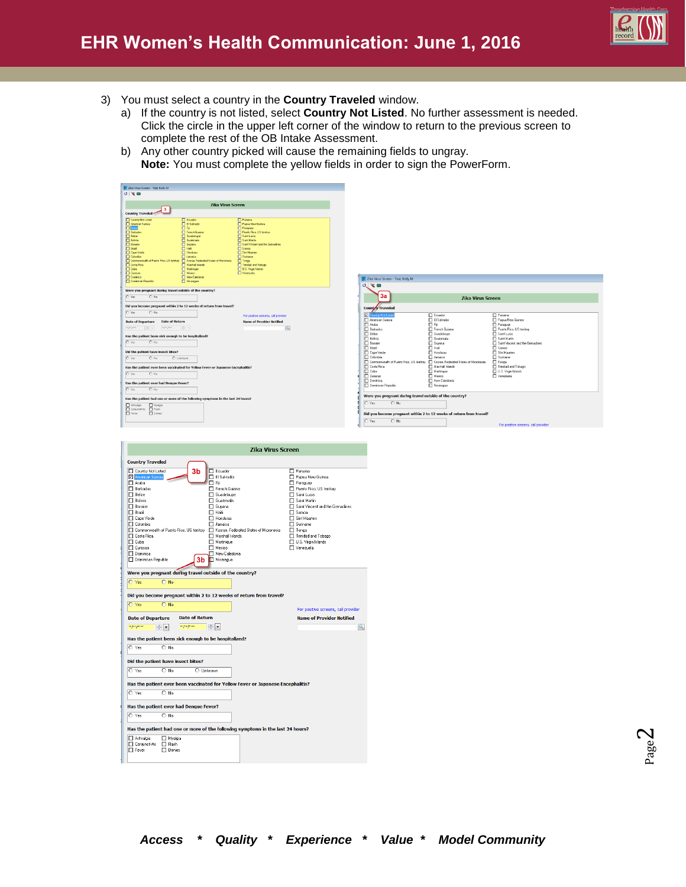- 3) You must select a country in the **Country Traveled** window.
	- a) If the country is not listed, select **Country Not Listed**. No further assessment is needed. Click the circle in the upper left corner of the window to return to the previous screen to complete the rest of the OB Intake Assessment.
	- b) Any other country picked will cause the remaining fields to ungray. **Note:** You must complete the yellow fields in order to sign the PowerForm.

| P. Zika Virus Screen - Test, Kelly M.                                                                         |                                                                                 |                                            |
|---------------------------------------------------------------------------------------------------------------|---------------------------------------------------------------------------------|--------------------------------------------|
| 0 <sup>2</sup>                                                                                                |                                                                                 |                                            |
|                                                                                                               |                                                                                 |                                            |
|                                                                                                               | <b>Zika Virus Screen</b>                                                        |                                            |
| 3                                                                                                             |                                                                                 |                                            |
| <b>Country Traveled-</b>                                                                                      |                                                                                 |                                            |
| <b>Country Not Listed</b>                                                                                     | <b>E</b> Equador                                                                | <b>Panana</b>                              |
| American Samoa                                                                                                | El Salvador                                                                     | Papua New Guinea                           |
| <b>D</b> Antis                                                                                                | 口压                                                                              | <b>Paraguay</b>                            |
| <b>FT</b> Barbados                                                                                            | <b>FI</b> French Guiana                                                         | Ruesto Rico, US tenitory                   |
| <b>FI</b> Belize                                                                                              | <b>FT</b> Guadeloupe<br><b>El Guaternala</b>                                    | <b>CI Saint Lucia</b><br><b>Carl Made</b>  |
| <b>Bolivia</b><br><b>FI</b> Bonaie                                                                            | <b>FI</b> Guiana                                                                | FI Saint Vincent and the Grenadines        |
| $\Box$ Brazil                                                                                                 | $\Box$ Hali                                                                     | $\Box$ Samoa                               |
| <b>FTI Cape Verde</b>                                                                                         | <b>FT</b> Honduras                                                              | <b>CI Sint Maadon</b>                      |
| <b>Colombia</b>                                                                                               | <b>U</b> Janaica                                                                | Suinane                                    |
| Commonwealth of Puerto Rico, US tenitory                                                                      | Kosse, Federated States of Micronesia                                           | T Tonga                                    |
| <b>Costa Rica</b><br><b>FLOOR</b>                                                                             | Hershall Islands<br><b>Natirique</b>                                            | Trinided and Tobago<br>U.S. Virgin Islands |
| <b>CLEARED</b>                                                                                                | Hesico                                                                          | <b>Nenezuels</b>                           |
| <b>FT</b> Dominica                                                                                            | <b>FT</b> New Caledonia                                                         |                                            |
| Dominican Republic                                                                                            | <b>El Nicaragua</b>                                                             |                                            |
| Did you become pregnant within 2 to 12 weeks of return from travel?<br>C Yes<br>$\bigcap$ No.                 |                                                                                 |                                            |
|                                                                                                               |                                                                                 | For positive screens, call provider        |
| <b>Date of Return</b><br><b>Date of Departure</b>                                                             |                                                                                 | <b>Name of Provider Notified</b>           |
| $\boxed{mp\alphapm\alpha} \qquad \quad \boxed{\frac{A}{\psi}} \quad \psi$<br>on per permit<br>$\frac{1}{2}$ v |                                                                                 | 医                                          |
| Has the patient been sick enough to be hospitalized?                                                          |                                                                                 |                                            |
| O Yes<br>$O$ No.                                                                                              |                                                                                 |                                            |
|                                                                                                               |                                                                                 |                                            |
| Did the patient have insect bites?                                                                            |                                                                                 |                                            |
| O Yes<br>$\bigcap$ No.<br>C Lisknown                                                                          |                                                                                 |                                            |
|                                                                                                               |                                                                                 |                                            |
|                                                                                                               | Has the patient ever been vaccinated for Yellow Fever or Japanese Encephalitis? |                                            |
| n Yes<br>$n_{\rm M}$                                                                                          |                                                                                 |                                            |
|                                                                                                               |                                                                                 |                                            |
| Has the patient ever had Denque Fever?                                                                        |                                                                                 |                                            |
| C Yes<br>$O$ No                                                                                               |                                                                                 |                                            |
|                                                                                                               | Has the patient had one or more of the following symptoms in the last 24 hours? |                                            |
| Artraigio<br><b>Nualzia</b>                                                                                   |                                                                                 |                                            |
| Conjunctivis<br>$\Box$ Resh                                                                                   |                                                                                 |                                            |
| <b>T</b> Fever<br><b>ITI</b> Denies                                                                           |                                                                                 |                                            |
|                                                                                                               |                                                                                 |                                            |
|                                                                                                               |                                                                                 |                                            |



|                                                                                                                                                                                                                                                                                                                                                                                                                   | <b>Zika Virus Screen</b> |                       |                                                                                                                                                                                                                                                                                     |                                                                                 |  |                                                                                                                                                                                                                                                                                    |
|-------------------------------------------------------------------------------------------------------------------------------------------------------------------------------------------------------------------------------------------------------------------------------------------------------------------------------------------------------------------------------------------------------------------|--------------------------|-----------------------|-------------------------------------------------------------------------------------------------------------------------------------------------------------------------------------------------------------------------------------------------------------------------------------|---------------------------------------------------------------------------------|--|------------------------------------------------------------------------------------------------------------------------------------------------------------------------------------------------------------------------------------------------------------------------------------|
| <b>Country Traveled</b>                                                                                                                                                                                                                                                                                                                                                                                           |                          |                       |                                                                                                                                                                                                                                                                                     |                                                                                 |  |                                                                                                                                                                                                                                                                                    |
| Country Not Listed<br>American Samoa<br><b>M</b> Aruba<br><b>N</b> Barbados<br><b>FI</b> Belize<br><b>ITI</b> Bolivia<br>□ Bonaire<br><b>FI</b> Brazil<br>T Cape Verde<br><b>□</b> Colombia<br>Commonwealth of Puerto Rico, US territory<br><b>FI</b> Costa Rica<br><b>ITI</b> Cuba<br>TI Curacao<br><b>FI</b> Dominica<br>Oominican Republic<br>Were you pregnant during travel outside of the country?<br>O Yes | $O$ No                   | 3 <sub>b</sub><br>3h  | $\Box$ Equador<br><b>FI El Salvador</b><br>ITI Fii<br>Fl French Guiana<br>FI Guadeloupe<br><b>ITI</b> Guatemala<br>∏ Guyana<br>$\Box$ Haiti<br><b>FI</b> Honduras<br>$\Box$ Jamaica<br>Marshall Islands<br><b>FI</b> Martinique<br><b>ID</b> Mexico<br>□ New Caledonia<br>Nicaragua | F Kosrae. Federated States of Micronesia                                        |  | $\Box$ Panama<br>Papua New Guinea<br>F Paraguay<br>Puerto Rico, US territory<br><b>FI</b> Saint Lucia<br>□ Saint Martin<br>□ Saint Vincent and the Grenadines<br>□ Samoa<br>□ Sint Maarten<br>□ Suriname<br>□ Tonga<br>T Trinidad and Tobago<br>□ U.S. Virgin Islands<br>Menezuela |
|                                                                                                                                                                                                                                                                                                                                                                                                                   |                          |                       |                                                                                                                                                                                                                                                                                     |                                                                                 |  |                                                                                                                                                                                                                                                                                    |
|                                                                                                                                                                                                                                                                                                                                                                                                                   |                          |                       |                                                                                                                                                                                                                                                                                     |                                                                                 |  |                                                                                                                                                                                                                                                                                    |
| O Yes                                                                                                                                                                                                                                                                                                                                                                                                             | $O$ No.                  |                       |                                                                                                                                                                                                                                                                                     | Did you become pregnant within 2 to 12 weeks of return from travel?             |  |                                                                                                                                                                                                                                                                                    |
|                                                                                                                                                                                                                                                                                                                                                                                                                   |                          |                       |                                                                                                                                                                                                                                                                                     |                                                                                 |  | For positive screens, call provider                                                                                                                                                                                                                                                |
| <b>Date of Departure</b>                                                                                                                                                                                                                                                                                                                                                                                          |                          | <b>Date of Return</b> |                                                                                                                                                                                                                                                                                     |                                                                                 |  | <b>Name of Provider Notified</b>                                                                                                                                                                                                                                                   |
| на рак ранна                                                                                                                                                                                                                                                                                                                                                                                                      | не рекросси<br>֥         |                       | $\div$ -                                                                                                                                                                                                                                                                            |                                                                                 |  | Q                                                                                                                                                                                                                                                                                  |
| Has the patient been sick enough to be hospitalized?                                                                                                                                                                                                                                                                                                                                                              |                          |                       |                                                                                                                                                                                                                                                                                     |                                                                                 |  |                                                                                                                                                                                                                                                                                    |
| O Yes                                                                                                                                                                                                                                                                                                                                                                                                             | $\cap$ No.               |                       |                                                                                                                                                                                                                                                                                     |                                                                                 |  |                                                                                                                                                                                                                                                                                    |
| Did the patient have insect bites?                                                                                                                                                                                                                                                                                                                                                                                |                          |                       |                                                                                                                                                                                                                                                                                     |                                                                                 |  |                                                                                                                                                                                                                                                                                    |
| O Yes                                                                                                                                                                                                                                                                                                                                                                                                             | $\bigcap$ No             | C Unknown             |                                                                                                                                                                                                                                                                                     |                                                                                 |  |                                                                                                                                                                                                                                                                                    |
|                                                                                                                                                                                                                                                                                                                                                                                                                   |                          |                       |                                                                                                                                                                                                                                                                                     |                                                                                 |  |                                                                                                                                                                                                                                                                                    |
| O Yes                                                                                                                                                                                                                                                                                                                                                                                                             | $\bigcap$ No             |                       |                                                                                                                                                                                                                                                                                     | Has the patient ever been vaccinated for Yellow Fever or Japanese Encephalitis? |  |                                                                                                                                                                                                                                                                                    |
|                                                                                                                                                                                                                                                                                                                                                                                                                   |                          |                       |                                                                                                                                                                                                                                                                                     |                                                                                 |  |                                                                                                                                                                                                                                                                                    |
| Has the patient ever had Denque Fever?                                                                                                                                                                                                                                                                                                                                                                            |                          |                       |                                                                                                                                                                                                                                                                                     |                                                                                 |  |                                                                                                                                                                                                                                                                                    |
| O Yes                                                                                                                                                                                                                                                                                                                                                                                                             | $\bigcap$ No             |                       |                                                                                                                                                                                                                                                                                     |                                                                                 |  |                                                                                                                                                                                                                                                                                    |
|                                                                                                                                                                                                                                                                                                                                                                                                                   |                          |                       |                                                                                                                                                                                                                                                                                     | Has the patient had one or more of the following symptoms in the last 24 hours? |  |                                                                                                                                                                                                                                                                                    |
| M Arthralgia                                                                                                                                                                                                                                                                                                                                                                                                      | Myalgia                  |                       |                                                                                                                                                                                                                                                                                     |                                                                                 |  |                                                                                                                                                                                                                                                                                    |
| <b>FI</b> Conjunctivtis                                                                                                                                                                                                                                                                                                                                                                                           | $\Box$ Rash              |                       |                                                                                                                                                                                                                                                                                     |                                                                                 |  |                                                                                                                                                                                                                                                                                    |
| $\Box$ Fever                                                                                                                                                                                                                                                                                                                                                                                                      | Denies                   |                       |                                                                                                                                                                                                                                                                                     |                                                                                 |  |                                                                                                                                                                                                                                                                                    |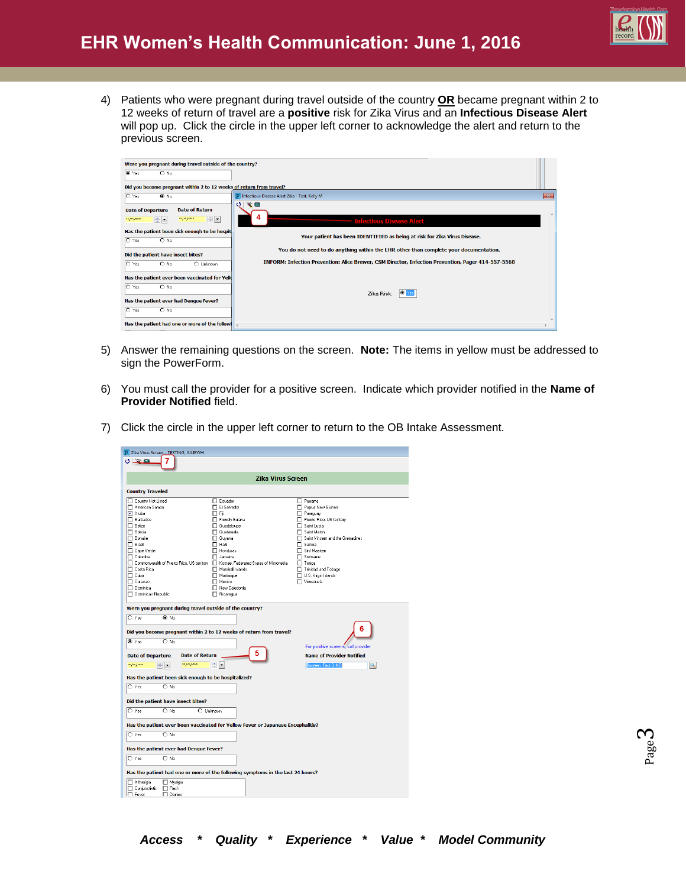

4) Patients who were pregnant during travel outside of the country **OR** became pregnant within 2 to 12 weeks of return of travel are a **positive** risk for Zika Virus and an **Infectious Disease Alert** will pop up. Click the circle in the upper left corner to acknowledge the alert and return to the previous screen.

| Were you pregnant during travel outside of the country?                                                                                                                                              |                                                                                                    |              |
|------------------------------------------------------------------------------------------------------------------------------------------------------------------------------------------------------|----------------------------------------------------------------------------------------------------|--------------|
| ⊙ Yes<br>$O$ No                                                                                                                                                                                      |                                                                                                    |              |
| Did you become pregnant within 2 to 12 weeks of return from travel?                                                                                                                                  |                                                                                                    |              |
| $\circ$ Yes<br>$\bullet$ No                                                                                                                                                                          | P Infectious Disease Alert Zika - Test, Kelly M                                                    | $\mathbf{x}$ |
| <b>Date of Return</b><br><b>Date of Departure</b><br>$\frac{1}{\sqrt{2}}\sqrt{\frac{1}{2}}$<br>$\Rightarrow$ $\equiv$<br>$x \rightarrow y \rightarrow z \rightarrow z \rightarrow x$<br>ин ран рамки | 医画<br>σI<br><b>Infectious Disease Alert</b>                                                        |              |
| Has the patient been sick enough to be hospit                                                                                                                                                        | Your patient has been IDENTIFIED as being at risk for Zika Virus Disease.                          |              |
| O Yes<br>$O$ No                                                                                                                                                                                      |                                                                                                    |              |
| Did the patient have insect bites?                                                                                                                                                                   | You do not need to do anything within the EHR other than complete your documentation.              |              |
| $\circ$ Yes<br>$\bigcirc$ No<br>O Unknown                                                                                                                                                            | INFORM: Infection Prevention: Alice Brewer, CSM Director, Infection Prevention, Pager 414-557-5568 |              |
| Has the patient ever been vaccinated for Yelk                                                                                                                                                        |                                                                                                    |              |
| O Yes<br>$O$ No                                                                                                                                                                                      | $\bullet$                                                                                          |              |
| Has the patient ever had Dengue Fever?                                                                                                                                                               | Zika Risk:                                                                                         |              |
| $\circ$ Yes<br>$\bigcirc$ No                                                                                                                                                                         |                                                                                                    |              |
| Has the patient had one or more of the followi<br>$\overline{$                                                                                                                                       |                                                                                                    |              |

- 5) Answer the remaining questions on the screen. **Note:** The items in yellow must be addressed to sign the PowerForm.
- 6) You must call the provider for a positive screen. Indicate which provider notified in the **Name of Provider Notified** field.
- 7) Click the circle in the upper left corner to return to the OB Intake Assessment.

| P Zika Virus Screen - TESTING, JULIEWH                                                                                                                                                                                                                                                                                                                |                                                                                                                                                                                                                                                                    |                                                                                                                                                                                                                                                                                       |
|-------------------------------------------------------------------------------------------------------------------------------------------------------------------------------------------------------------------------------------------------------------------------------------------------------------------------------------------------------|--------------------------------------------------------------------------------------------------------------------------------------------------------------------------------------------------------------------------------------------------------------------|---------------------------------------------------------------------------------------------------------------------------------------------------------------------------------------------------------------------------------------------------------------------------------------|
| $\sim$ m<br>ð                                                                                                                                                                                                                                                                                                                                         |                                                                                                                                                                                                                                                                    |                                                                                                                                                                                                                                                                                       |
|                                                                                                                                                                                                                                                                                                                                                       | <b>Zika Virus Screen</b>                                                                                                                                                                                                                                           |                                                                                                                                                                                                                                                                                       |
| <b>Country Traveled</b>                                                                                                                                                                                                                                                                                                                               |                                                                                                                                                                                                                                                                    |                                                                                                                                                                                                                                                                                       |
| □ Country Not Listed<br>American Samoa<br><b>▽</b> Aruba<br>FI Barbados<br>$\Box$ Belize<br>□ Bolivia<br>$\Box$ Bonaire<br>$\Box$ Brazil<br>□ Cape Verde<br>$\Box$ Colombia<br>□ Commonwealth of Puerto Rico, US territory □ Kosrae, Federated States of Micronesia<br>□ Costa Rica<br>$\Box$ Cuba<br>T Curacao<br>□ Dominica<br>□ Dominican Republic | <b>IT</b> Ecuador<br>FI El Salvador<br>$\Box$ Fij<br>FI French Guiana<br>FI Guadeloupe<br>□ Guatemala<br>$\Box$ Guyana<br>$\Box$ Haiti<br>$\Box$ Honduras<br>$\Box$ Jamaica<br>Marshall Islands<br><b>ITI</b> Martinique<br>□ Mexico<br>Mew Caledonia<br>Micaragua | $\Box$ Panama<br>Papua New Guinea<br>Paraguay<br>Puerto Rico, US territory<br>□ Saint Lucia<br>□ Saint Martin<br>Saint Vincent and the Grenadines<br>$\Box$ Samoa<br>□ Sint Maarten<br>$\Box$ Suriname<br>$\Box$ Tonga<br>T Trinidad and Tobago<br>U.S. Virgin Islands<br>□ Venezuela |
| Were you pregnant during travel outside of the country?<br>$O$ Yes<br>⊕ No<br>Did you become pregnant within 2 to 12 weeks of return from travel?<br>C Yes<br>$\bigcirc$ No                                                                                                                                                                           |                                                                                                                                                                                                                                                                    | 6                                                                                                                                                                                                                                                                                     |
| <b>Date of Return</b><br><b>Date of Departure</b>                                                                                                                                                                                                                                                                                                     |                                                                                                                                                                                                                                                                    | For positive screens, call provider<br><b>Name of Provider Notified</b>                                                                                                                                                                                                               |
| же <i>рак рос</i> ки<br>ни рос раник<br>$\blacktriangledown$                                                                                                                                                                                                                                                                                          | ÷F                                                                                                                                                                                                                                                                 | <b>Burstein, Paul D MD</b><br>Q                                                                                                                                                                                                                                                       |
| Has the patient been sick enough to be hospitalized?                                                                                                                                                                                                                                                                                                  |                                                                                                                                                                                                                                                                    |                                                                                                                                                                                                                                                                                       |
| $O$ Yes<br>$\cap$ No                                                                                                                                                                                                                                                                                                                                  |                                                                                                                                                                                                                                                                    |                                                                                                                                                                                                                                                                                       |
| Did the patient have insect bites?                                                                                                                                                                                                                                                                                                                    |                                                                                                                                                                                                                                                                    |                                                                                                                                                                                                                                                                                       |
| O Yes<br>$\bigcirc$ No                                                                                                                                                                                                                                                                                                                                | O Unknown                                                                                                                                                                                                                                                          |                                                                                                                                                                                                                                                                                       |
| Has the patient ever been vaccinated for Yellow Fever or Japanese Encephalitis?                                                                                                                                                                                                                                                                       |                                                                                                                                                                                                                                                                    |                                                                                                                                                                                                                                                                                       |
| $\bigcap$ Yes<br>$\bigcap$ No                                                                                                                                                                                                                                                                                                                         |                                                                                                                                                                                                                                                                    |                                                                                                                                                                                                                                                                                       |
| Has the patient ever had Denque Fever?                                                                                                                                                                                                                                                                                                                |                                                                                                                                                                                                                                                                    |                                                                                                                                                                                                                                                                                       |
| $O$ Yes<br>$\bigcirc$ No                                                                                                                                                                                                                                                                                                                              |                                                                                                                                                                                                                                                                    |                                                                                                                                                                                                                                                                                       |
|                                                                                                                                                                                                                                                                                                                                                       |                                                                                                                                                                                                                                                                    |                                                                                                                                                                                                                                                                                       |
|                                                                                                                                                                                                                                                                                                                                                       | Has the patient had one or more of the following symptoms in the last 24 hours?                                                                                                                                                                                    |                                                                                                                                                                                                                                                                                       |
| Arthralgia<br>Myalgia<br>$\Box$ Rash<br>Conjunctivtis<br><b>ITI</b> Denies<br>$\Box$ Fever                                                                                                                                                                                                                                                            |                                                                                                                                                                                                                                                                    |                                                                                                                                                                                                                                                                                       |